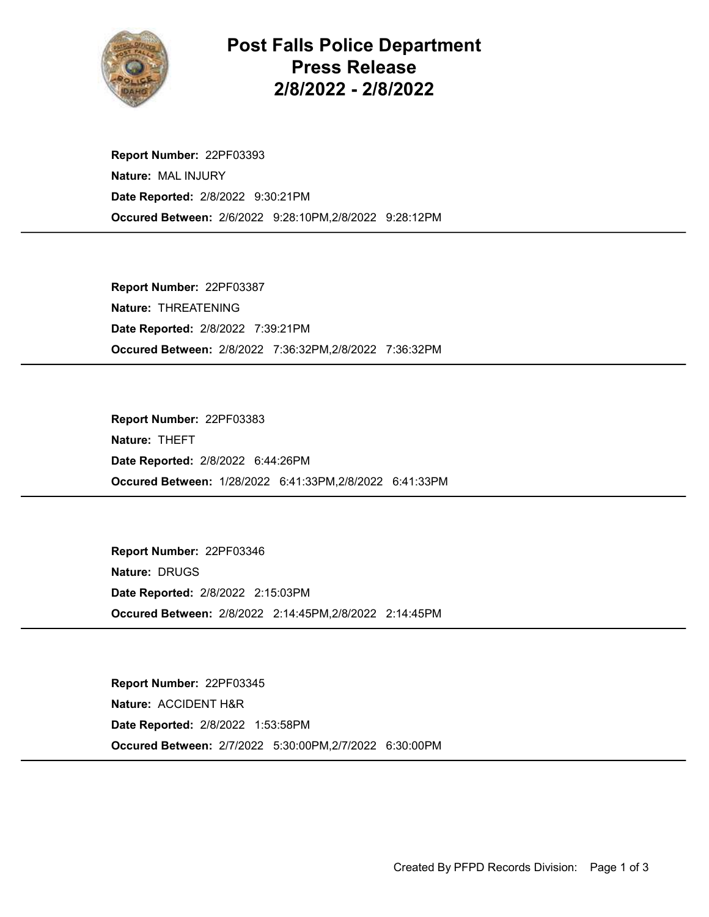

## Post Falls Police Department Press Release 2/8/2022 - 2/8/2022

Occured Between: 2/6/2022 9:28:10PM,2/8/2022 9:28:12PM Report Number: 22PF03393 Nature: MAL INJURY Date Reported: 2/8/2022 9:30:21PM

Occured Between: 2/8/2022 7:36:32PM,2/8/2022 7:36:32PM Report Number: 22PF03387 Nature: THREATENING Date Reported: 2/8/2022 7:39:21PM

Occured Between: 1/28/2022 6:41:33PM,2/8/2022 6:41:33PM Report Number: 22PF03383 Nature: THEFT Date Reported: 2/8/2022 6:44:26PM

Occured Between: 2/8/2022 2:14:45PM,2/8/2022 2:14:45PM Report Number: 22PF03346 Nature: DRUGS Date Reported: 2/8/2022 2:15:03PM

Occured Between: 2/7/2022 5:30:00PM,2/7/2022 6:30:00PM Report Number: 22PF03345 Nature: ACCIDENT H&R Date Reported: 2/8/2022 1:53:58PM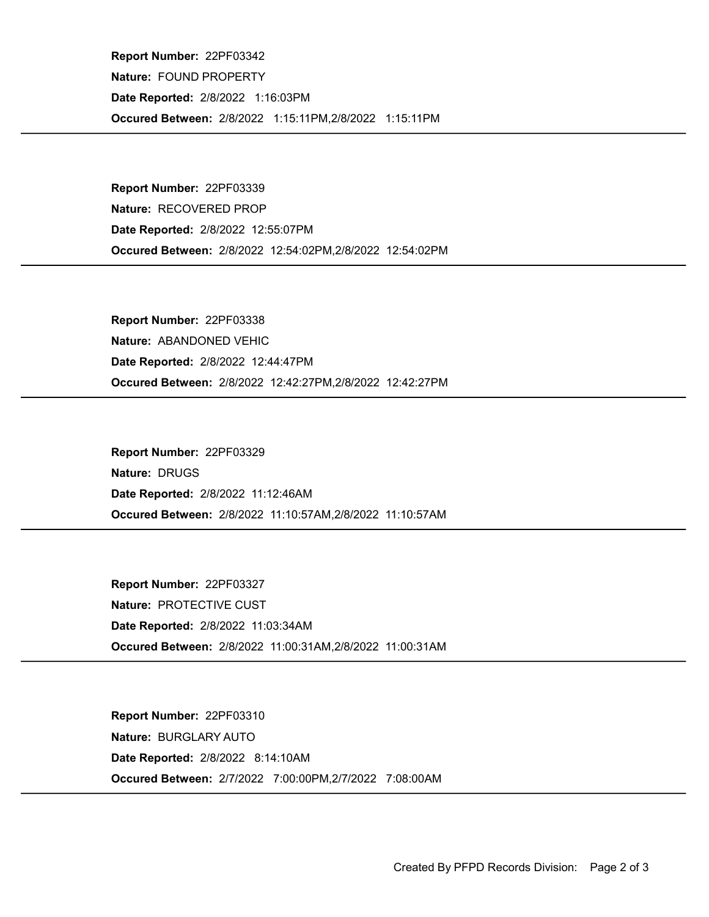Occured Between: 2/8/2022 1:15:11PM,2/8/2022 1:15:11PM Report Number: 22PF03342 Nature: FOUND PROPERTY Date Reported: 2/8/2022 1:16:03PM

Occured Between: 2/8/2022 12:54:02PM,2/8/2022 12:54:02PM Report Number: 22PF03339 Nature: RECOVERED PROP Date Reported: 2/8/2022 12:55:07PM

Occured Between: 2/8/2022 12:42:27PM,2/8/2022 12:42:27PM Report Number: 22PF03338 Nature: ABANDONED VEHIC Date Reported: 2/8/2022 12:44:47PM

Occured Between: 2/8/2022 11:10:57AM,2/8/2022 11:10:57AM Report Number: 22PF03329 Nature: DRUGS Date Reported: 2/8/2022 11:12:46AM

Occured Between: 2/8/2022 11:00:31AM,2/8/2022 11:00:31AM Report Number: 22PF03327 Nature: PROTECTIVE CUST Date Reported: 2/8/2022 11:03:34AM

Occured Between: 2/7/2022 7:00:00PM,2/7/2022 7:08:00AM Report Number: 22PF03310 Nature: BURGLARY AUTO Date Reported: 2/8/2022 8:14:10AM